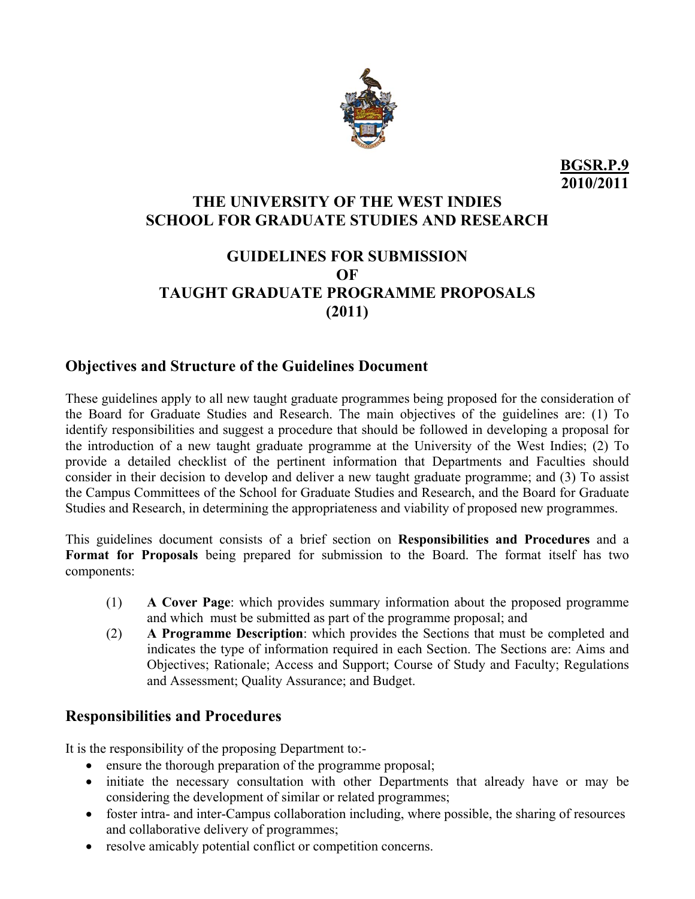

# **THE UNIVERSITY OF THE WEST INDIES SCHOOL FOR GRADUATE STUDIES AND RESEARCH**

# **GUIDELINES FOR SUBMISSION OF TAUGHT GRADUATE PROGRAMME PROPOSALS (2011)**

## **Objectives and Structure of the Guidelines Document**

These guidelines apply to all new taught graduate programmes being proposed for the consideration of the Board for Graduate Studies and Research. The main objectives of the guidelines are: (1) To identify responsibilities and suggest a procedure that should be followed in developing a proposal for the introduction of a new taught graduate programme at the University of the West Indies; (2) To provide a detailed checklist of the pertinent information that Departments and Faculties should consider in their decision to develop and deliver a new taught graduate programme; and (3) To assist the Campus Committees of the School for Graduate Studies and Research, and the Board for Graduate Studies and Research, in determining the appropriateness and viability of proposed new programmes.

This guidelines document consists of a brief section on **Responsibilities and Procedures** and a **Format for Proposals** being prepared for submission to the Board. The format itself has two components:

- (1) **A Cover Page**: which provides summary information about the proposed programme and which must be submitted as part of the programme proposal; and
- (2) **A Programme Description**: which provides the Sections that must be completed and indicates the type of information required in each Section. The Sections are: Aims and Objectives; Rationale; Access and Support; Course of Study and Faculty; Regulations and Assessment; Quality Assurance; and Budget.

# **Responsibilities and Procedures**

It is the responsibility of the proposing Department to:-

- ensure the thorough preparation of the programme proposal;
- initiate the necessary consultation with other Departments that already have or may be considering the development of similar or related programmes;
- foster intra- and inter-Campus collaboration including, where possible, the sharing of resources and collaborative delivery of programmes;
- resolve amicably potential conflict or competition concerns.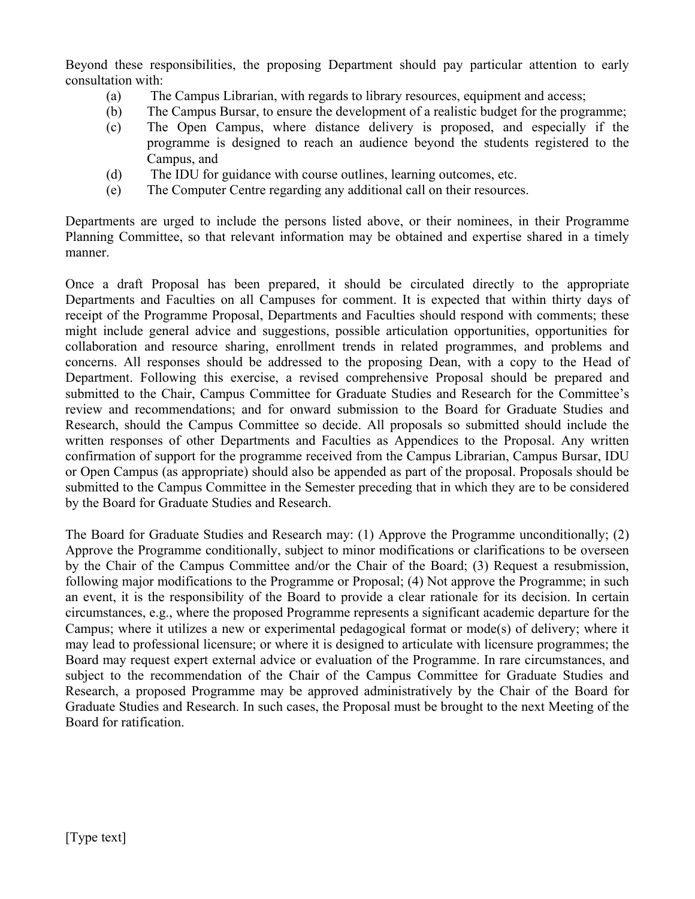Beyond these responsibilities, the proposing Department should pay particular attention to early consultation with:

- (a) The Campus Librarian, with regards to library resources, equipment and access;
- (b) The Campus Bursar, to ensure the development of a realistic budget for the programme;
- (c) The Open Campus, where distance delivery is proposed, and especially if the programme is designed to reach an audience beyond the students registered to the Campus, and
- (d) The IDU for guidance with course outlines, learning outcomes, etc.
- (e) The Computer Centre regarding any additional call on their resources.

Departments are urged to include the persons listed above, or their nominees, in their Programme Planning Committee, so that relevant information may be obtained and expertise shared in a timely manner.

Once a draft Proposal has been prepared, it should be circulated directly to the appropriate Departments and Faculties on all Campuses for comment. It is expected that within thirty days of receipt of the Programme Proposal, Departments and Faculties should respond with comments; these might include general advice and suggestions, possible articulation opportunities, opportunities for collaboration and resource sharing, enrollment trends in related programmes, and problems and concerns. All responses should be addressed to the proposing Dean, with a copy to the Head of Department. Following this exercise, a revised comprehensive Proposal should be prepared and submitted to the Chair, Campus Committee for Graduate Studies and Research for the Committee's review and recommendations; and for onward submission to the Board for Graduate Studies and Research, should the Campus Committee so decide. All proposals so submitted should include the written responses of other Departments and Faculties as Appendices to the Proposal. Any written confirmation of support for the programme received from the Campus Librarian, Campus Bursar, IDU or Open Campus (as appropriate) should also be appended as part of the proposal. Proposals should be submitted to the Campus Committee in the Semester preceding that in which they are to be considered by the Board for Graduate Studies and Research.

The Board for Graduate Studies and Research may: (1) Approve the Programme unconditionally; (2) Approve the Programme conditionally, subject to minor modifications or clarifications to be overseen by the Chair of the Campus Committee and/or the Chair of the Board; (3) Request a resubmission, following major modifications to the Programme or Proposal; (4) Not approve the Programme; in such an event, it is the responsibility of the Board to provide a clear rationale for its decision. In certain circumstances, e.g., where the proposed Programme represents a significant academic departure for the Campus; where it utilizes a new or experimental pedagogical format or mode(s) of delivery; where it may lead to professional licensure; or where it is designed to articulate with licensure programmes; the Board may request expert external advice or evaluation of the Programme. In rare circumstances, and subject to the recommendation of the Chair of the Campus Committee for Graduate Studies and Research, a proposed Programme may be approved administratively by the Chair of the Board for Graduate Studies and Research. In such cases, the Proposal must be brought to the next Meeting of the Board for ratification.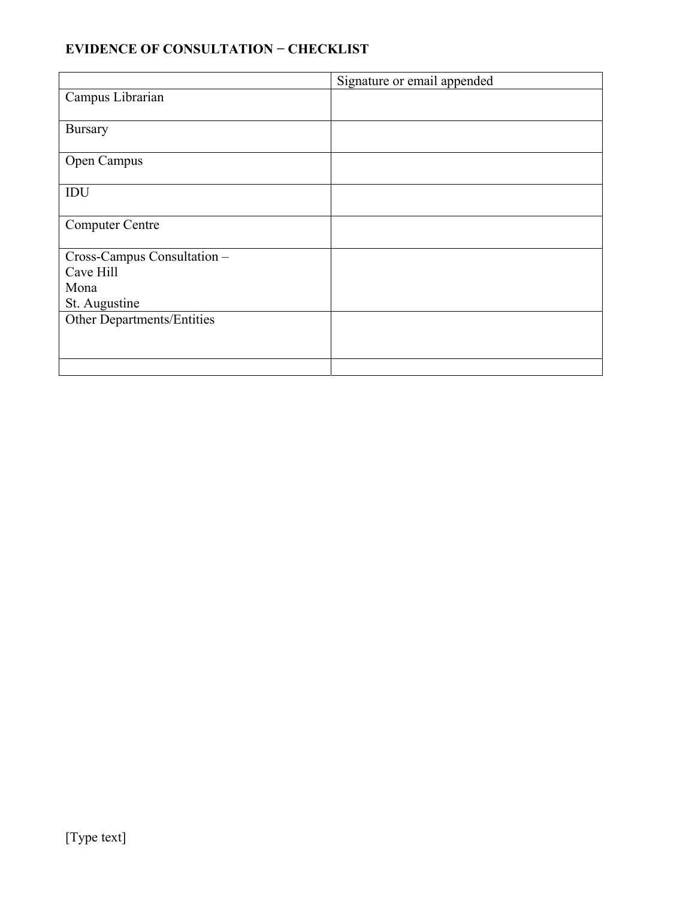## **EVIDENCE OF CONSULTATION − CHECKLIST**

|                             | Signature or email appended |
|-----------------------------|-----------------------------|
| Campus Librarian            |                             |
|                             |                             |
| <b>Bursary</b>              |                             |
|                             |                             |
| Open Campus                 |                             |
|                             |                             |
| IDU                         |                             |
|                             |                             |
| <b>Computer Centre</b>      |                             |
|                             |                             |
| Cross-Campus Consultation - |                             |
| Cave Hill                   |                             |
| Mona                        |                             |
| St. Augustine               |                             |
| Other Departments/Entities  |                             |
|                             |                             |
|                             |                             |
|                             |                             |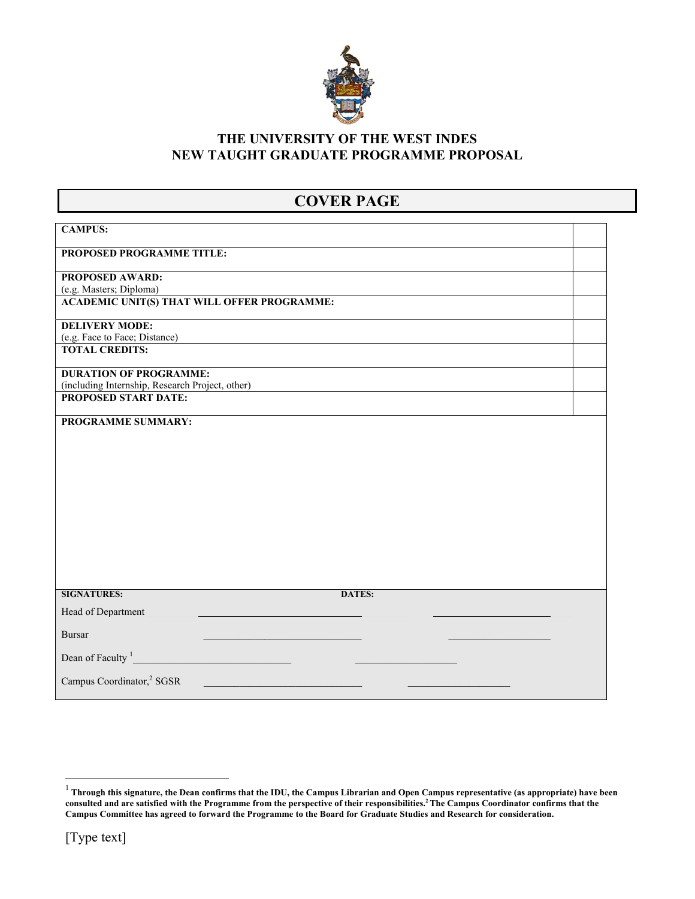

#### **THE UNIVERSITY OF THE WEST INDES NEW TAUGHT GRADUATE PROGRAMME PROPOSAL**

# **COVER PAGE**

| <b>CAMPUS:</b>                                                          |  |
|-------------------------------------------------------------------------|--|
| PROPOSED PROGRAMME TITLE:                                               |  |
| <b>PROPOSED AWARD:</b>                                                  |  |
| (e.g. Masters; Diploma)                                                 |  |
| <b>ACADEMIC UNIT(S) THAT WILL OFFER PROGRAMME:</b>                      |  |
| <b>DELIVERY MODE:</b>                                                   |  |
| (e.g. Face to Face; Distance)                                           |  |
| <b>TOTAL CREDITS:</b>                                                   |  |
| <b>DURATION OF PROGRAMME:</b>                                           |  |
| (including Internship, Research Project, other)<br>PROPOSED START DATE: |  |
|                                                                         |  |
| PROGRAMME SUMMARY:                                                      |  |
|                                                                         |  |
|                                                                         |  |
|                                                                         |  |
|                                                                         |  |
|                                                                         |  |
|                                                                         |  |
|                                                                         |  |
|                                                                         |  |
|                                                                         |  |
|                                                                         |  |
|                                                                         |  |
| <b>SIGNATURES:</b><br><b>DATES:</b>                                     |  |
| Head of Department                                                      |  |
|                                                                         |  |
| <b>Bursar</b>                                                           |  |
| Dean of Faculty <sup>1</sup>                                            |  |
| Campus Coordinator, <sup>2</sup> SGSR                                   |  |
|                                                                         |  |

 1  **Through this signature, the Dean confirms that the IDU, the Campus Librarian and Open Campus representative (as appropriate) have been consulted and are satisfied with the Programme from the perspective of their responsibilities.2 The Campus Coordinator confirms that the Campus Committee has agreed to forward the Programme to the Board for Graduate Studies and Research for consideration.**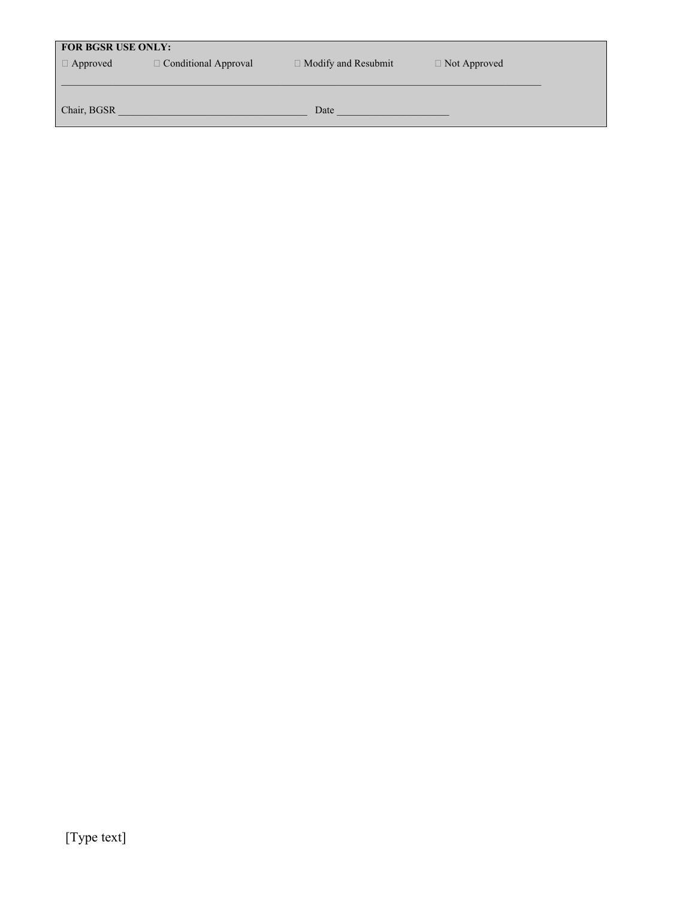## **FOR BGSR USE ONLY:**

 $\Box$  Approved  $\Box$  Conditional Approval  $\Box$  Modify and Resubmit  $\Box$  Not Approved

Chair, BGSR \_\_\_\_\_\_\_\_\_\_\_\_\_\_\_\_\_\_\_\_\_\_\_\_\_\_\_\_\_\_\_\_\_\_\_\_\_ Date \_\_\_\_\_\_\_\_\_\_\_\_\_\_\_\_\_\_\_\_\_\_

 $\mathcal{L}_\mathcal{L} = \mathcal{L}_\mathcal{L}$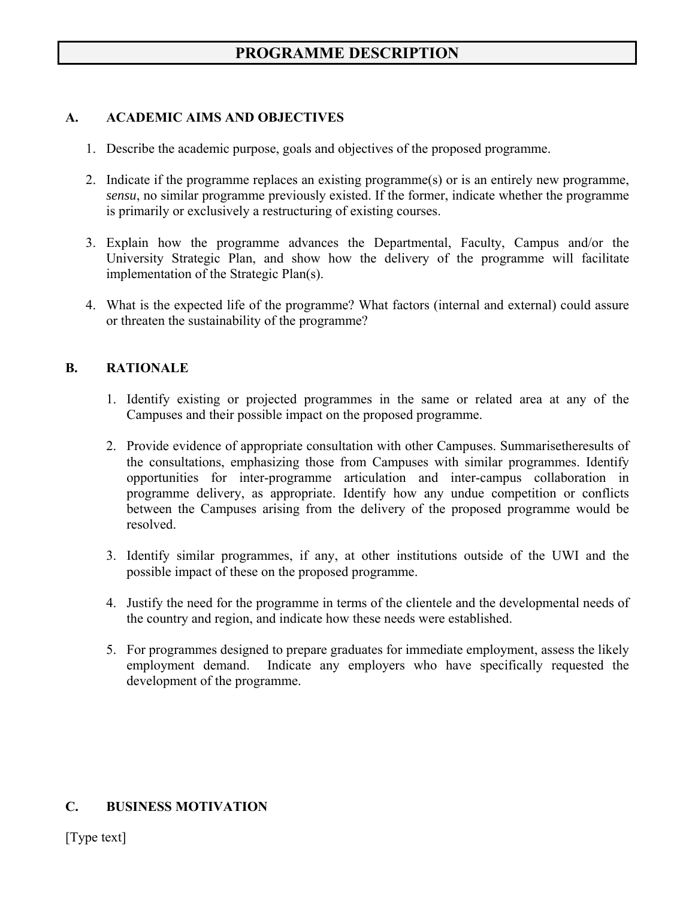# **PROGRAMME DESCRIPTION**

#### **A. ACADEMIC AIMS AND OBJECTIVES**

- 1. Describe the academic purpose, goals and objectives of the proposed programme.
- 2. Indicate if the programme replaces an existing programme(s) or is an entirely new programme, *sensu*, no similar programme previously existed. If the former, indicate whether the programme is primarily or exclusively a restructuring of existing courses.
- 3. Explain how the programme advances the Departmental, Faculty, Campus and/or the University Strategic Plan, and show how the delivery of the programme will facilitate implementation of the Strategic Plan(s).
- 4. What is the expected life of the programme? What factors (internal and external) could assure or threaten the sustainability of the programme?

#### **B. RATIONALE**

- 1. Identify existing or projected programmes in the same or related area at any of the Campuses and their possible impact on the proposed programme.
- 2. Provide evidence of appropriate consultation with other Campuses. Summarisetheresults of the consultations, emphasizing those from Campuses with similar programmes. Identify opportunities for inter-programme articulation and inter-campus collaboration in programme delivery, as appropriate. Identify how any undue competition or conflicts between the Campuses arising from the delivery of the proposed programme would be resolved.
- 3. Identify similar programmes, if any, at other institutions outside of the UWI and the possible impact of these on the proposed programme.
- 4. Justify the need for the programme in terms of the clientele and the developmental needs of the country and region, and indicate how these needs were established.
- 5. For programmes designed to prepare graduates for immediate employment, assess the likely employment demand. Indicate any employers who have specifically requested the development of the programme.

#### **C. BUSINESS MOTIVATION**

[Type text]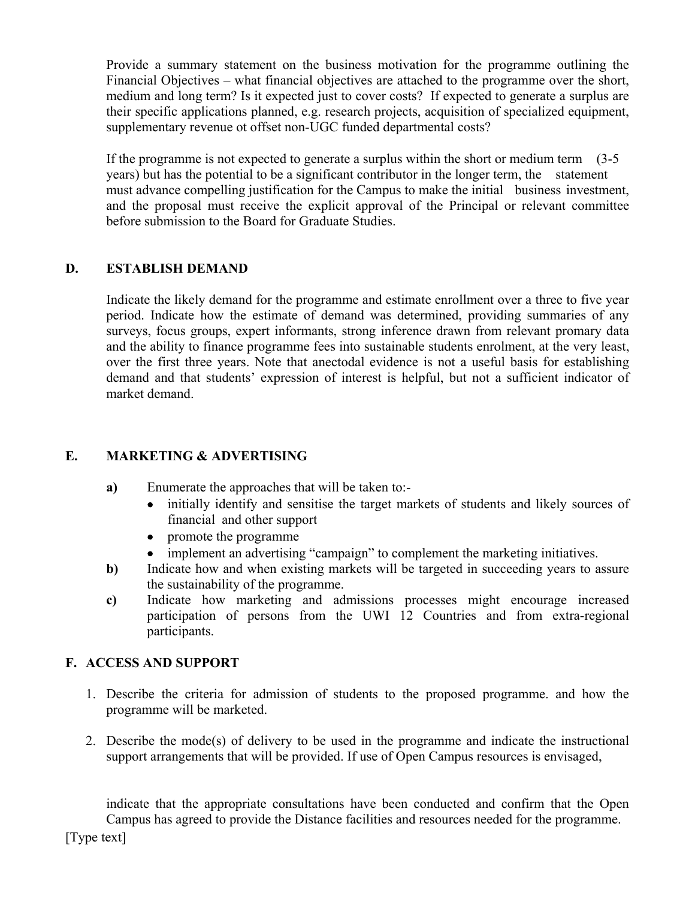Provide a summary statement on the business motivation for the programme outlining the Financial Objectives – what financial objectives are attached to the programme over the short, medium and long term? Is it expected just to cover costs? If expected to generate a surplus are their specific applications planned, e.g. research projects, acquisition of specialized equipment, supplementary revenue ot offset non-UGC funded departmental costs?

If the programme is not expected to generate a surplus within the short or medium term (3-5 years) but has the potential to be a significant contributor in the longer term, the statement must advance compelling justification for the Campus to make the initial business investment, and the proposal must receive the explicit approval of the Principal or relevant committee before submission to the Board for Graduate Studies.

## **D. ESTABLISH DEMAND**

Indicate the likely demand for the programme and estimate enrollment over a three to five year period. Indicate how the estimate of demand was determined, providing summaries of any surveys, focus groups, expert informants, strong inference drawn from relevant promary data and the ability to finance programme fees into sustainable students enrolment, at the very least, over the first three years. Note that anectodal evidence is not a useful basis for establishing demand and that students' expression of interest is helpful, but not a sufficient indicator of market demand.

### **E. MARKETING & ADVERTISING**

- **a)** Enumerate the approaches that will be taken to:-
	- initially identify and sensitise the target markets of students and likely sources of financial and other support
	- promote the programme
	- implement an advertising "campaign" to complement the marketing initiatives.
- **b**) Indicate how and when existing markets will be targeted in succeeding years to assure the sustainability of the programme.
- **c)** Indicate how marketing and admissions processes might encourage increased participation of persons from the UWI 12 Countries and from extra-regional participants.

#### **F. ACCESS AND SUPPORT**

- 1. Describe the criteria for admission of students to the proposed programme. and how the programme will be marketed.
- 2. Describe the mode(s) of delivery to be used in the programme and indicate the instructional support arrangements that will be provided. If use of Open Campus resources is envisaged,

indicate that the appropriate consultations have been conducted and confirm that the Open Campus has agreed to provide the Distance facilities and resources needed for the programme.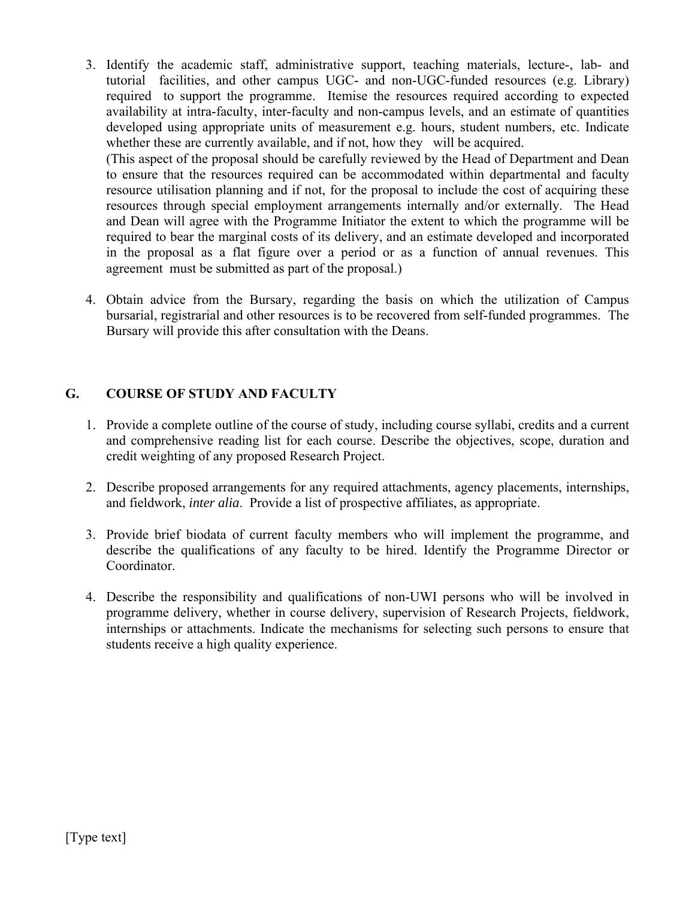3. Identify the academic staff, administrative support, teaching materials, lecture-, lab- and tutorial facilities, and other campus UGC- and non-UGC-funded resources (e.g. Library) required to support the programme. Itemise the resources required according to expected availability at intra-faculty, inter-faculty and non-campus levels, and an estimate of quantities developed using appropriate units of measurement e.g. hours, student numbers, etc. Indicate whether these are currently available, and if not, how they will be acquired.

(This aspect of the proposal should be carefully reviewed by the Head of Department and Dean to ensure that the resources required can be accommodated within departmental and faculty resource utilisation planning and if not, for the proposal to include the cost of acquiring these resources through special employment arrangements internally and/or externally. The Head and Dean will agree with the Programme Initiator the extent to which the programme will be required to bear the marginal costs of its delivery, and an estimate developed and incorporated in the proposal as a flat figure over a period or as a function of annual revenues. This agreement must be submitted as part of the proposal.)

4. Obtain advice from the Bursary, regarding the basis on which the utilization of Campus bursarial, registrarial and other resources is to be recovered from self-funded programmes. The Bursary will provide this after consultation with the Deans.

## **G. COURSE OF STUDY AND FACULTY**

- 1. Provide a complete outline of the course of study, including course syllabi, credits and a current and comprehensive reading list for each course. Describe the objectives, scope, duration and credit weighting of any proposed Research Project.
- 2. Describe proposed arrangements for any required attachments, agency placements, internships, and fieldwork, *inter alia*. Provide a list of prospective affiliates, as appropriate.
- 3. Provide brief biodata of current faculty members who will implement the programme, and describe the qualifications of any faculty to be hired. Identify the Programme Director or Coordinator.
- 4. Describe the responsibility and qualifications of non-UWI persons who will be involved in programme delivery, whether in course delivery, supervision of Research Projects, fieldwork, internships or attachments. Indicate the mechanisms for selecting such persons to ensure that students receive a high quality experience.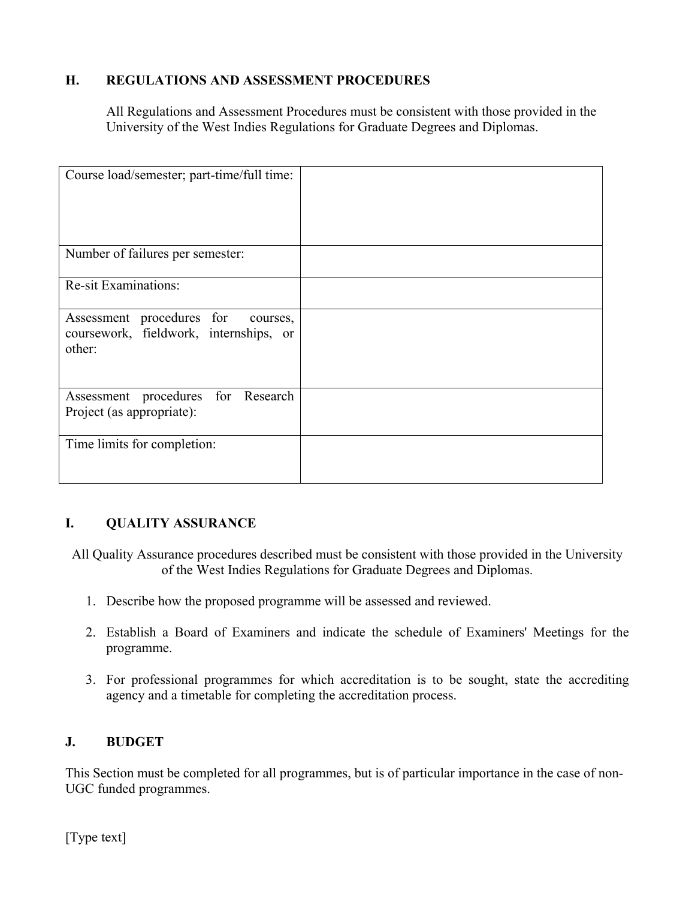## **H. REGULATIONS AND ASSESSMENT PROCEDURES**

All Regulations and Assessment Procedures must be consistent with those provided in the University of the West Indies Regulations for Graduate Degrees and Diplomas.

| Course load/semester; part-time/full time:                                                |  |
|-------------------------------------------------------------------------------------------|--|
| Number of failures per semester:                                                          |  |
| <b>Re-sit Examinations:</b>                                                               |  |
| Assessment procedures for<br>courses,<br>coursework, fieldwork, internships, or<br>other: |  |
| Assessment procedures for Research<br>Project (as appropriate):                           |  |
| Time limits for completion:                                                               |  |

## **I. QUALITY ASSURANCE**

All Quality Assurance procedures described must be consistent with those provided in the University of the West Indies Regulations for Graduate Degrees and Diplomas.

- 1. Describe how the proposed programme will be assessed and reviewed.
- 2. Establish a Board of Examiners and indicate the schedule of Examiners' Meetings for the programme.
- 3. For professional programmes for which accreditation is to be sought, state the accrediting agency and a timetable for completing the accreditation process.

## **J. BUDGET**

This Section must be completed for all programmes, but is of particular importance in the case of non-UGC funded programmes.

[Type text]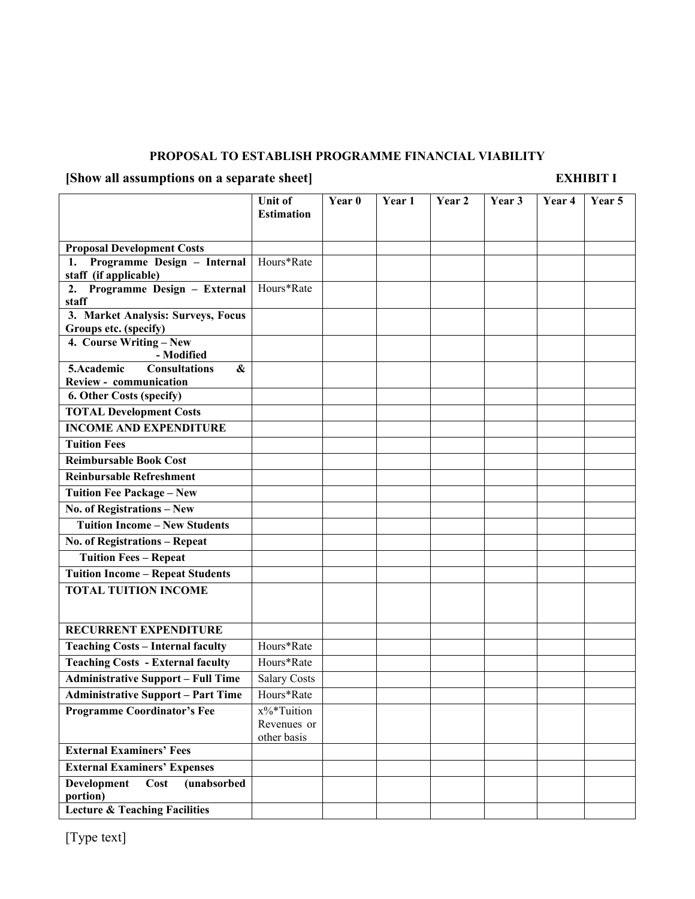#### **PROPOSAL TO ESTABLISH PROGRAMME FINANCIAL VIABILITY**

# **[Show all assumptions on a separate sheet] EXHIBIT I**

|                                                                       | <b>Unit of</b>      | Year 0 | Year 1 | Year 2 | Year 3 | Year 4 | Year 5 |
|-----------------------------------------------------------------------|---------------------|--------|--------|--------|--------|--------|--------|
|                                                                       | <b>Estimation</b>   |        |        |        |        |        |        |
|                                                                       |                     |        |        |        |        |        |        |
| <b>Proposal Development Costs</b>                                     |                     |        |        |        |        |        |        |
| Programme Design - Internal<br>1.<br>staff (if applicable)            | Hours*Rate          |        |        |        |        |        |        |
| Programme Design - External<br>2.                                     | Hours*Rate          |        |        |        |        |        |        |
| staff                                                                 |                     |        |        |        |        |        |        |
| 3. Market Analysis: Surveys, Focus                                    |                     |        |        |        |        |        |        |
| Groups etc. (specify)                                                 |                     |        |        |        |        |        |        |
| 4. Course Writing - New                                               |                     |        |        |        |        |        |        |
| - Modified<br>5.Academic<br><b>Consultations</b><br>$\boldsymbol{\&}$ |                     |        |        |        |        |        |        |
| <b>Review - communication</b>                                         |                     |        |        |        |        |        |        |
| 6. Other Costs (specify)                                              |                     |        |        |        |        |        |        |
| <b>TOTAL Development Costs</b>                                        |                     |        |        |        |        |        |        |
| <b>INCOME AND EXPENDITURE</b>                                         |                     |        |        |        |        |        |        |
| <b>Tuition Fees</b>                                                   |                     |        |        |        |        |        |        |
| <b>Reimbursable Book Cost</b>                                         |                     |        |        |        |        |        |        |
| <b>Reinbursable Refreshment</b>                                       |                     |        |        |        |        |        |        |
| <b>Tuition Fee Package - New</b>                                      |                     |        |        |        |        |        |        |
| No. of Registrations - New                                            |                     |        |        |        |        |        |        |
| <b>Tuition Income - New Students</b>                                  |                     |        |        |        |        |        |        |
| No. of Registrations - Repeat                                         |                     |        |        |        |        |        |        |
| <b>Tuition Fees - Repeat</b>                                          |                     |        |        |        |        |        |        |
| <b>Tuition Income - Repeat Students</b>                               |                     |        |        |        |        |        |        |
| <b>TOTAL TUITION INCOME</b>                                           |                     |        |        |        |        |        |        |
|                                                                       |                     |        |        |        |        |        |        |
| RECURRENT EXPENDITURE                                                 |                     |        |        |        |        |        |        |
| <b>Teaching Costs - Internal faculty</b>                              | Hours*Rate          |        |        |        |        |        |        |
| <b>Teaching Costs - External faculty</b>                              | Hours*Rate          |        |        |        |        |        |        |
| <b>Administrative Support - Full Time</b>                             | <b>Salary Costs</b> |        |        |        |        |        |        |
| <b>Administrative Support - Part Time</b>                             | Hours*Rate          |        |        |        |        |        |        |
| <b>Programme Coordinator's Fee</b>                                    | x%*Tuition          |        |        |        |        |        |        |
|                                                                       | Revenues or         |        |        |        |        |        |        |
| <b>External Examiners' Fees</b>                                       | other basis         |        |        |        |        |        |        |
|                                                                       |                     |        |        |        |        |        |        |
| <b>External Examiners' Expenses</b>                                   |                     |        |        |        |        |        |        |
| <b>Development</b><br>(unabsorbed<br>Cost<br>portion)                 |                     |        |        |        |        |        |        |
| <b>Lecture &amp; Teaching Facilities</b>                              |                     |        |        |        |        |        |        |

[Type text]